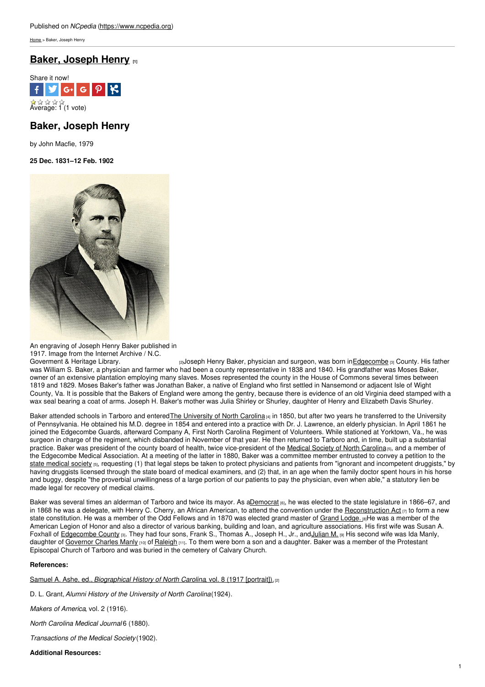[Home](https://www.ncpedia.org/) > Baker, Joseph Henry

# **Baker, [Joseph](https://www.ncpedia.org/biography/baker-joseph-henry) Henry [1]**



# **Baker, Joseph Henry**

by John Macfie, 1979

**25 Dec. 1831–12 Feb. 1902**



An engraving of Joseph Henry Baker published in 1917. Image from the Internet Archive / N.C.<br>Governent & Heritage Library.

[2]Joseph Henry Baker, physician and surgeon, was born in*[Edgecombe](https://www.ncpedia.org/geography/edgecombe)* [3] County. His father was William S. Baker, a physician and farmer who had been a county representative in 1838 and 1840. His grandfather was Moses Baker, owner of an extensive plantation employing many slaves. Moses represented the county in the House of Commons several times between 1819 and 1829. Moses Baker's father was Jonathan Baker, a native of England who first settled in Nansemond or adjacent Isle of Wight County, Va. It is possible that the Bakers of England were among the gentry, because there is evidence of an old Virginia deed stamped with a wax seal bearing a coat of arms. Joseph H. Baker's mother was Julia Shirley or Shurley, daughter of Henry and Elizabeth Davis Shurley.

Baker attended schools in Tarboro and enteredThe [University](https://www.ncpedia.org/university-north-carolina-chapel-hi) of North Carolina [4] in 1850, but after two years he transferred to the University of Pennsylvania. He obtained his M.D. degree in 1854 and entered into a practice with Dr. J. Lawrence, an elderly physician. In April 1861 he joined the Edgecombe Guards, afterward Company A, First North Carolina Regiment of Volunteers. While stationed at Yorktown, Va., he was surgeon in charge of the regiment, which disbanded in November of that year. He then returned to Tarboro and, in time, built up a substantial practice. Baker was president of the county board of health, twice vice-president of the Medical Society of North [Carolina](https://www.ncpedia.org/medical-society)<sub>[5]</sub>, and a member of the Edgecombe Medical Association. At a meeting of the latter in 1880, Baker was a committee member entrusted to convey a petition to the state [medical](https://www.ncpedia.org/medical-society) society [5], requesting (1) that legal steps be taken to protect physicians and patients from "ignorant and incompetent druggists," by having druggists licensed through the state board of medical examiners, and (2) that, in an age when the family doctor spent hours in his horse and buggy, despite "the proverbial unwillingness of a large portion of our patients to pay the physician, even when able," a statutory lien be made legal for recovery of medical claims.

Baker was several times an alderman of Tarboro and twice its mayor. As [aDemocrat](https://www.ncpedia.org/democratic-party) [6], he was elected to the state legislature in 1866–67, and in 1868 he was a delegate, with Henry C. Cherry, an African American, to attend the convention under the [Reconstruction](https://www.ncpedia.org/reconstruction) Act  $\eta$  to form a new state constitution. He was a member of the Odd Fellows and in 1870 was elected grand master of Grand [Lodge.](https://www.ncpedia.org/freemasons) [8]He was a member of the American Legion of Honor and also a director of various banking, building and loan, and agriculture associations. His first wife was Susan A. Foxhall of [Edgecombe](https://www.ncpedia.org/geography/edgecombe) County [3]. They had four sons, Frank S., Thomas A., Joseph H., Jr., and [Julian](https://www.ncpedia.org/biography/baker-julian-meredith) M. [9] His second wife was Ida Manly, daughter of [Governor](https://www.ncpedia.org/manly-charles-research-branch-nc) Charles Manly [10] of [Raleigh](https://www.ncpedia.org/geography/raleigh) [11]. To them were born a son and a daughter. Baker was a member of the Protestant Episcopal Church of Tarboro and was buried in the cemetery of Calvary Church.

### **References:**

Samuel A. Ashe, ed., *[Biographical](https://archive.org/stream/biographicalhist08ashe#page/n81/mode/2up) History of North Carolina*, vol. 8 (1917 [portrait]).[2]

D. L. Grant,*Alumni History of the University of North Carolina*(1924).

*Makers of America*, vol. 2 (1916).

*North Carolina Medical Journal* 6 (1880).

*Transactions of the Medical Society* (1902).

## **Additional Resources:**